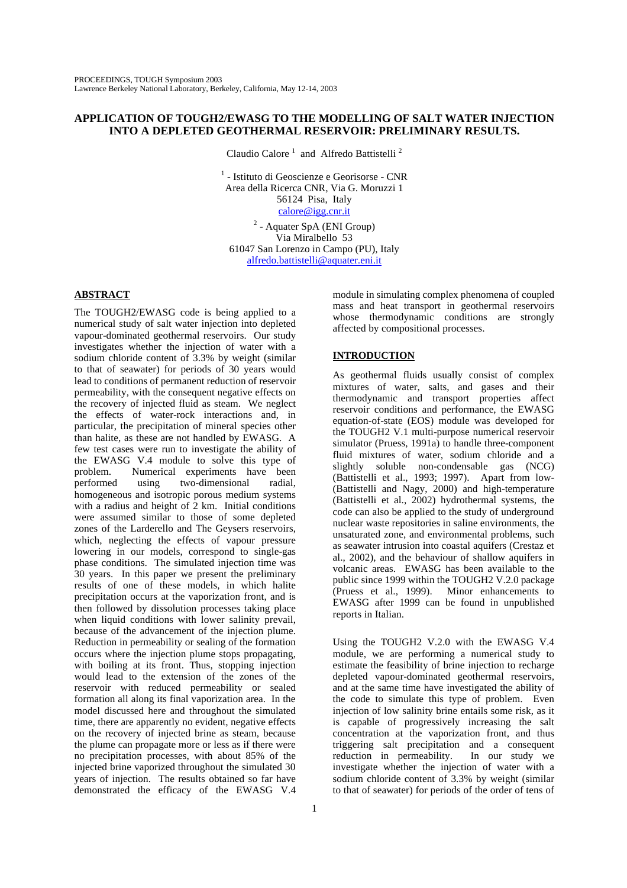# **APPLICATION OF TOUGH2/EWASG TO THE MODELLING OF SALT WATER INJECTION INTO A DEPLETED GEOTHERMAL RESERVOIR: PRELIMINARY RESULTS.**

Claudio Calore<sup>1</sup> and Alfredo Battistelli<sup>2</sup>

1 - Istituto di Geoscienze e Georisorse - CNR Area della Ricerca CNR, Via G. Moruzzi 1 56124 Pisa, Italy calore@igg.cnr.it

 $2$  - Aquater SpA (ENI Group) Via Miralbello 53 61047 San Lorenzo in Campo (PU), Italy alfredo.battistelli@aquater.eni.it

# **ABSTRACT**

The TOUGH2/EWASG code is being applied to a numerical study of salt water injection into depleted vapour-dominated geothermal reservoirs. Our study investigates whether the injection of water with a sodium chloride content of 3.3% by weight (similar to that of seawater) for periods of 30 years would lead to conditions of permanent reduction of reservoir permeability, with the consequent negative effects on the recovery of injected fluid as steam. We neglect the effects of water-rock interactions and, in particular, the precipitation of mineral species other than halite, as these are not handled by EWASG. A few test cases were run to investigate the ability of the EWASG V.4 module to solve this type of problem. Numerical experiments have been performed using two-dimensional radial, homogeneous and isotropic porous medium systems with a radius and height of 2 km. Initial conditions were assumed similar to those of some depleted zones of the Larderello and The Geysers reservoirs, which, neglecting the effects of vapour pressure lowering in our models, correspond to single-gas phase conditions. The simulated injection time was 30 years. In this paper we present the preliminary results of one of these models, in which halite precipitation occurs at the vaporization front, and is then followed by dissolution processes taking place when liquid conditions with lower salinity prevail, because of the advancement of the injection plume. Reduction in permeability or sealing of the formation occurs where the injection plume stops propagating, with boiling at its front. Thus, stopping injection would lead to the extension of the zones of the reservoir with reduced permeability or sealed formation all along its final vaporization area. In the model discussed here and throughout the simulated time, there are apparently no evident, negative effects on the recovery of injected brine as steam, because the plume can propagate more or less as if there were no precipitation processes, with about 85% of the injected brine vaporized throughout the simulated 30 years of injection. The results obtained so far have demonstrated the efficacy of the EWASG V.4

module in simulating complex phenomena of coupled mass and heat transport in geothermal reservoirs whose thermodynamic conditions are strongly affected by compositional processes.

# **INTRODUCTION**

As geothermal fluids usually consist of complex mixtures of water, salts, and gases and their thermodynamic and transport properties affect reservoir conditions and performance, the EWASG equation-of-state (EOS) module was developed for the TOUGH2 V.1 multi-purpose numerical reservoir simulator (Pruess, 1991a) to handle three-component fluid mixtures of water, sodium chloride and a slightly soluble non-condensable gas (NCG) (Battistelli et al., 1993; 1997). Apart from low- (Battistelli and Nagy, 2000) and high-temperature (Battistelli et al., 2002) hydrothermal systems, the code can also be applied to the study of underground nuclear waste repositories in saline environments, the unsaturated zone, and environmental problems, such as seawater intrusion into coastal aquifers (Crestaz et al., 2002), and the behaviour of shallow aquifers in volcanic areas. EWASG has been available to the public since 1999 within the TOUGH2 V.2.0 package (Pruess et al., 1999). Minor enhancements to EWASG after 1999 can be found in unpublished reports in Italian.

Using the TOUGH2 V.2.0 with the EWASG V.4 module, we are performing a numerical study to estimate the feasibility of brine injection to recharge depleted vapour-dominated geothermal reservoirs, and at the same time have investigated the ability of the code to simulate this type of problem. Even injection of low salinity brine entails some risk, as it is capable of progressively increasing the salt concentration at the vaporization front, and thus triggering salt precipitation and a consequent reduction in permeability. In our study we investigate whether the injection of water with a sodium chloride content of 3.3% by weight (similar to that of seawater) for periods of the order of tens of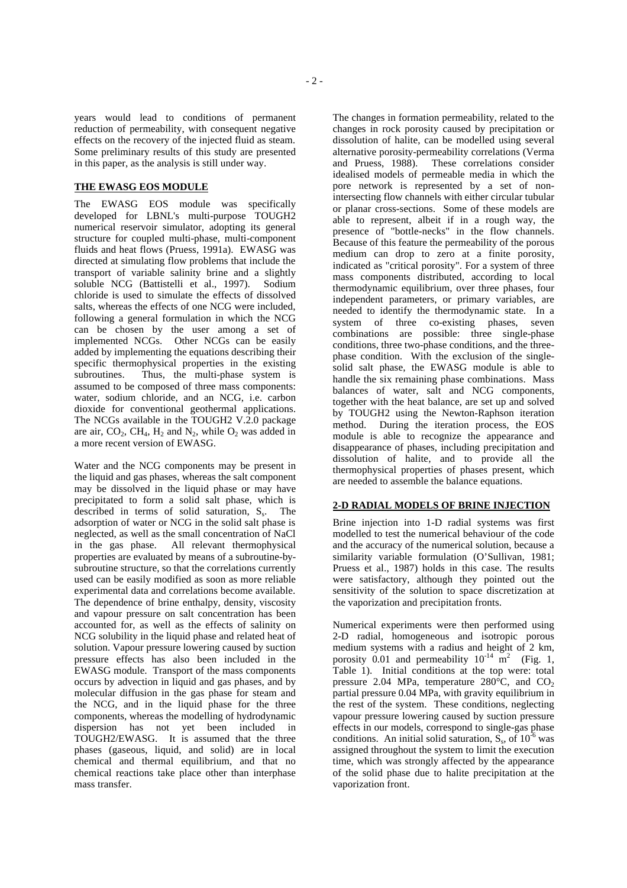years would lead to conditions of permanent reduction of permeability, with consequent negative effects on the recovery of the injected fluid as steam. Some preliminary results of this study are presented in this paper, as the analysis is still under way.

# **THE EWASG EOS MODULE**

The EWASG EOS module was specifically developed for LBNL's multi-purpose TOUGH2 numerical reservoir simulator, adopting its general structure for coupled multi-phase, multi-component fluids and heat flows (Pruess, 1991a). EWASG was directed at simulating flow problems that include the transport of variable salinity brine and a slightly soluble NCG (Battistelli et al., 1997). Sodium chloride is used to simulate the effects of dissolved salts, whereas the effects of one NCG were included, following a general formulation in which the NCG can be chosen by the user among a set of implemented NCGs. Other NCGs can be easily added by implementing the equations describing their specific thermophysical properties in the existing subroutines. Thus, the multi-phase system is assumed to be composed of three mass components: water, sodium chloride, and an NCG, i.e. carbon dioxide for conventional geothermal applications. The NCGs available in the TOUGH2 V.2.0 package are air,  $CO<sub>2</sub>$ ,  $CH<sub>4</sub>$ ,  $H<sub>2</sub>$  and  $N<sub>2</sub>$ , while  $O<sub>2</sub>$  was added in a more recent version of EWASG.

Water and the NCG components may be present in the liquid and gas phases, whereas the salt component may be dissolved in the liquid phase or may have precipitated to form a solid salt phase, which is described in terms of solid saturation,  $S_s$ . The adsorption of water or NCG in the solid salt phase is neglected, as well as the small concentration of NaCl in the gas phase. All relevant thermophysical properties are evaluated by means of a subroutine-bysubroutine structure, so that the correlations currently used can be easily modified as soon as more reliable experimental data and correlations become available. The dependence of brine enthalpy, density, viscosity and vapour pressure on salt concentration has been accounted for, as well as the effects of salinity on NCG solubility in the liquid phase and related heat of solution. Vapour pressure lowering caused by suction pressure effects has also been included in the EWASG module. Transport of the mass components occurs by advection in liquid and gas phases, and by molecular diffusion in the gas phase for steam and the NCG, and in the liquid phase for the three components, whereas the modelling of hydrodynamic dispersion has not yet been included in TOUGH2/EWASG. It is assumed that the three phases (gaseous, liquid, and solid) are in local chemical and thermal equilibrium, and that no chemical reactions take place other than interphase mass transfer.

The changes in formation permeability, related to the changes in rock porosity caused by precipitation or dissolution of halite, can be modelled using several alternative porosity-permeability correlations (Verma and Pruess, 1988). These correlations consider idealised models of permeable media in which the pore network is represented by a set of nonintersecting flow channels with either circular tubular or planar cross-sections. Some of these models are able to represent, albeit if in a rough way, the presence of "bottle-necks" in the flow channels. Because of this feature the permeability of the porous medium can drop to zero at a finite porosity, indicated as "critical porosity". For a system of three mass components distributed, according to local thermodynamic equilibrium, over three phases, four independent parameters, or primary variables, are needed to identify the thermodynamic state. In a system of three co-existing phases, seven combinations are possible: three single-phase conditions, three two-phase conditions, and the threephase condition. With the exclusion of the singlesolid salt phase, the EWASG module is able to handle the six remaining phase combinations. Mass balances of water, salt and NCG components, together with the heat balance, are set up and solved by TOUGH2 using the Newton-Raphson iteration method. During the iteration process, the EOS module is able to recognize the appearance and disappearance of phases, including precipitation and dissolution of halite, and to provide all the thermophysical properties of phases present, which are needed to assemble the balance equations.

### **2-D RADIAL MODELS OF BRINE INJECTION**

Brine injection into 1-D radial systems was first modelled to test the numerical behaviour of the code and the accuracy of the numerical solution, because a similarity variable formulation (O'Sullivan, 1981; Pruess et al., 1987) holds in this case. The results were satisfactory, although they pointed out the sensitivity of the solution to space discretization at the vaporization and precipitation fronts.

Numerical experiments were then performed using 2-D radial, homogeneous and isotropic porous medium systems with a radius and height of 2 km, porosity 0.01 and permeability  $10^{-14}$  m<sup>2</sup> (Fig. 1, Table 1). Initial conditions at the top were: total pressure 2.04 MPa, temperature 280 $^{\circ}$ C, and CO<sub>2</sub> partial pressure 0.04 MPa, with gravity equilibrium in the rest of the system. These conditions, neglecting vapour pressure lowering caused by suction pressure effects in our models, correspond to single-gas phase conditions. An initial solid saturation,  $S_s$ , of  $10^{-6}$  was assigned throughout the system to limit the execution time, which was strongly affected by the appearance of the solid phase due to halite precipitation at the vaporization front.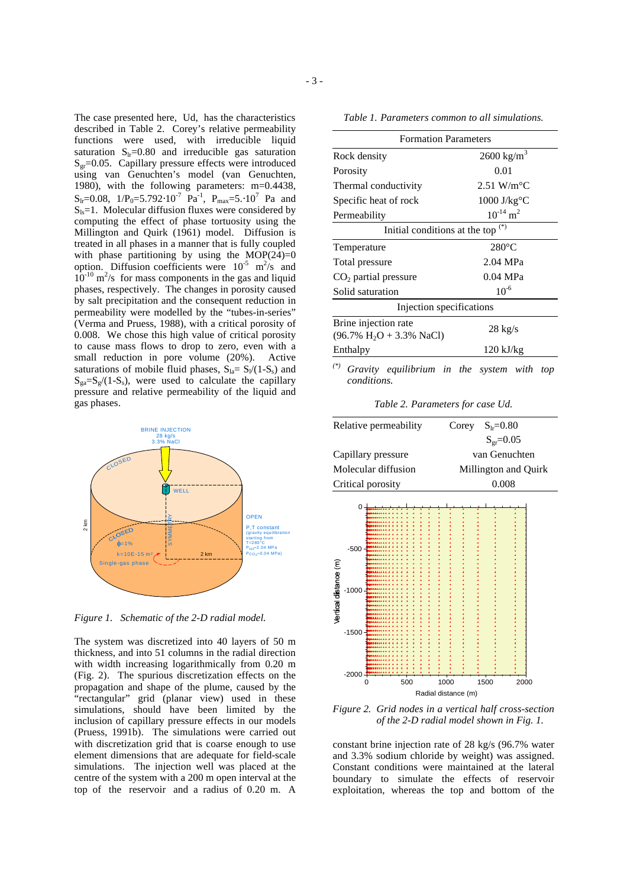The case presented here, Ud, has the characteristics described in Table 2. Corey's relative permeability functions were used, with irreducible liquid saturation  $S_{1r}=0.80$  and irreducible gas saturation  $S<sub>gr</sub>=0.05$ . Capillary pressure effects were introduced using van Genuchten's model (van Genuchten, 1980), with the following parameters: m=0.4438,  $S_{\text{lr}}=0.08, 1/P_0=5.792 \cdot 10^{-7} \text{ Pa}^{-1}, P_{\text{max}}=5.10^{7} \text{ Pa}$  and  $S<sub>ls</sub>=1$ . Molecular diffusion fluxes were considered by computing the effect of phase tortuosity using the Millington and Quirk (1961) model. Diffusion is treated in all phases in a manner that is fully coupled with phase partitioning by using the  $MOP(24)=0$ option. Diffusion coefficients were  $10^{-5}$  m<sup>2</sup>/s and  $10^{-10}$  m<sup>2</sup>/s for mass components in the gas and liquid phases, respectively. The changes in porosity caused by salt precipitation and the consequent reduction in permeability were modelled by the "tubes-in-series" (Verma and Pruess, 1988), with a critical porosity of 0.008. We chose this high value of critical porosity to cause mass flows to drop to zero, even with a small reduction in pore volume (20%). Active saturations of mobile fluid phases,  $S_{la} = S_1/(1-S_s)$  and  $S_{\text{ga}}=S_{\text{g}}/(1-S_{\text{s}})$ , were used to calculate the capillary pressure and relative permeability of the liquid and gas phases.



*Figure 1. Schematic of the 2-D radial model.*

The system was discretized into 40 layers of 50 m thickness, and into 51 columns in the radial direction with width increasing logarithmically from 0.20 m (Fig. 2). The spurious discretization effects on the propagation and shape of the plume, caused by the "rectangular" grid (planar view) used in these simulations, should have been limited by the inclusion of capillary pressure effects in our models (Pruess, 1991b). The simulations were carried out with discretization grid that is coarse enough to use element dimensions that are adequate for field-scale simulations. The injection well was placed at the centre of the system with a 200 m open interval at the top of the reservoir and a radius of 0.20 m. A

*Table 1. Parameters common to all simulations.*

| <b>Formation Parameters</b>                                                 |                           |
|-----------------------------------------------------------------------------|---------------------------|
| Rock density                                                                | $2600 \text{ kg/m}^3$     |
| Porosity                                                                    | 0.01                      |
| Thermal conductivity                                                        | $2.51$ W/m <sup>o</sup> C |
| Specific heat of rock                                                       | $1000$ J/ $kg^{\circ}C$   |
| Permeability                                                                | $10^{-14}$ m <sup>2</sup> |
| Initial conditions at the top <sup>(*)</sup>                                |                           |
| Temperature                                                                 | $280^{\circ}$ C           |
| Total pressure                                                              | 2.04 MPa                  |
| $CO2$ partial pressure                                                      | 0.04 MPa                  |
| Solid saturation                                                            | $10^{-6}$                 |
| Injection specifications                                                    |                           |
| Brine injection rate<br>$(96.7\% \text{ H}_2\text{O} + 3.3\% \text{ NaCl})$ | $28 \text{ kg/s}$         |
| Enthalpy                                                                    | $120$ kJ/kg               |
| $(*)$<br>Gravity equilibrium in the system with                             | top                       |

*conditions.*

*Table 2. Parameters for case Ud.*

| Relative permeability | $S_{1r} = 0.80$<br>Corey |
|-----------------------|--------------------------|
|                       | $S_{\rm gr} = 0.05$      |
| Capillary pressure    | van Genuchten            |
| Molecular diffusion   | Millington and Quirk     |
| Critical porosity     | 0.008                    |



*Figure 2. Grid nodes in a vertical half cross-section of the 2-D radial model shown in Fig. 1.*

constant brine injection rate of 28 kg/s (96.7% water and 3.3% sodium chloride by weight) was assigned. Constant conditions were maintained at the lateral boundary to simulate the effects of reservoir exploitation, whereas the top and bottom of the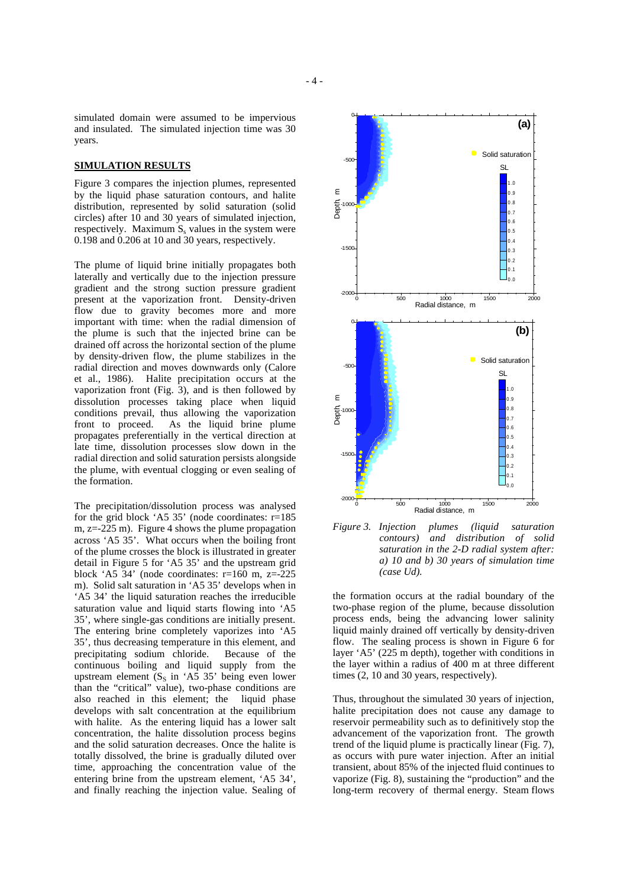simulated domain were assumed to be impervious and insulated. The simulated injection time was 30 years.

#### **SIMULATION RESULTS**

Figure 3 compares the injection plumes, represented by the liquid phase saturation contours, and halite distribution, represented by solid saturation (solid circles) after 10 and 30 years of simulated injection, respectively. Maximum  $S_s$  values in the system were 0.198 and 0.206 at 10 and 30 years, respectively.

The plume of liquid brine initially propagates both laterally and vertically due to the injection pressure gradient and the strong suction pressure gradient present at the vaporization front. Density-driven flow due to gravity becomes more and more important with time: when the radial dimension of the plume is such that the injected brine can be drained off across the horizontal section of the plume by density-driven flow, the plume stabilizes in the radial direction and moves downwards only (Calore et al., 1986). Halite precipitation occurs at the vaporization front (Fig. 3), and is then followed by dissolution processes taking place when liquid conditions prevail, thus allowing the vaporization front to proceed. As the liquid brine plume propagates preferentially in the vertical direction at late time, dissolution processes slow down in the radial direction and solid saturation persists alongside the plume, with eventual clogging or even sealing of the formation.

The precipitation/dissolution process was analysed for the grid block 'A5 35' (node coordinates: r=185 m,  $z = -225$  m). Figure 4 shows the plume propagation across 'A5 35'. What occurs when the boiling front of the plume crosses the block is illustrated in greater detail in Figure 5 for 'A5 35' and the upstream grid block 'A5  $34'$  (node coordinates: r=160 m, z=-225) m). Solid salt saturation in 'A5 35' develops when in 'A5 34' the liquid saturation reaches the irreducible saturation value and liquid starts flowing into 'A5 35', where single-gas conditions are initially present. The entering brine completely vaporizes into 'A5 35', thus decreasing temperature in this element, and precipitating sodium chloride. Because of the continuous boiling and liquid supply from the upstream element  $(S<sub>S</sub>$  in 'A5 35' being even lower than the "critical" value), two-phase conditions are also reached in this element; the liquid phase develops with salt concentration at the equilibrium with halite. As the entering liquid has a lower salt concentration, the halite dissolution process begins and the solid saturation decreases. Once the halite is totally dissolved, the brine is gradually diluted over time, approaching the concentration value of the entering brine from the upstream element, 'A5 34', and finally reaching the injection value. Sealing of





the formation occurs at the radial boundary of the two-phase region of the plume, because dissolution process ends, being the advancing lower salinity liquid mainly drained off vertically by density-driven flow. The sealing process is shown in Figure 6 for layer 'A5' (225 m depth), together with conditions in the layer within a radius of 400 m at three different times (2, 10 and 30 years, respectively).

Thus, throughout the simulated 30 years of injection, halite precipitation does not cause any damage to reservoir permeability such as to definitively stop the advancement of the vaporization front. The growth trend of the liquid plume is practically linear (Fig. 7), as occurs with pure water injection. After an initial transient, about 85% of the injected fluid continues to vaporize (Fig. 8), sustaining the "production" and the long-term recovery of thermal energy. Steam flows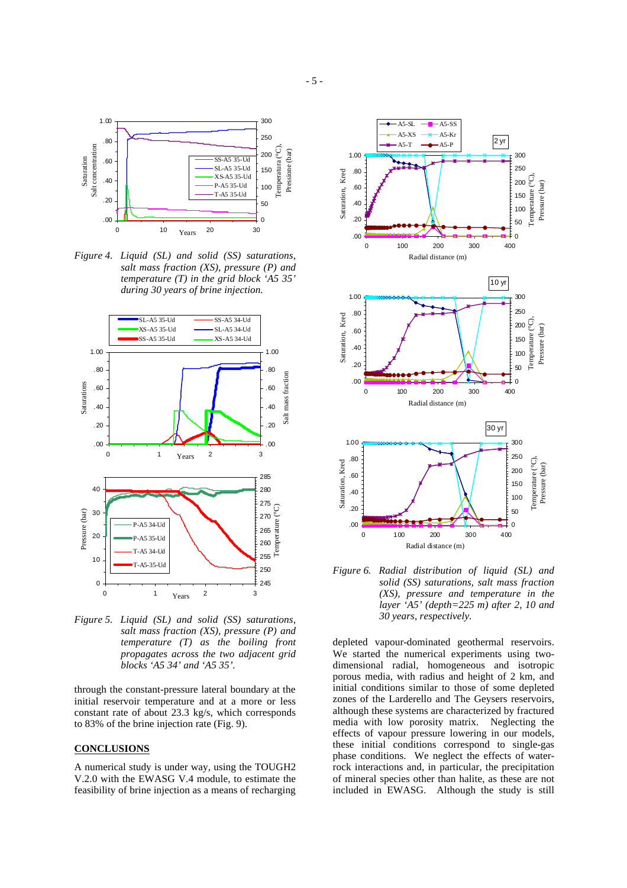

*Figure 4. Liquid (SL) and solid (SS) saturations, salt mass fraction (XS), pressure (P) and temperature (T) in the grid block 'A5 35' during 30 years of brine injection.*



*Figure 5. Liquid (SL) and solid (SS) saturations, salt mass fraction (XS), pressure (P) and temperature (T) as the boiling front propagates across the two adjacent grid blocks 'A5 34' and 'A5 35'.*

through the constant-pressure lateral boundary at the initial reservoir temperature and at a more or less constant rate of about 23.3 kg/s, which corresponds to 83% of the brine injection rate (Fig. 9).

#### **CONCLUSIONS**

A numerical study is under way, using the TOUGH2 V.2.0 with the EWASG V.4 module, to estimate the feasibility of brine injection as a means of recharging



*Figure 6. Radial distribution of liquid (SL) and solid (SS) saturations, salt mass fraction (XS), pressure and temperature in the layer 'A5' (depth=225 m) after 2, 10 and 30 years, respectively.*

depleted vapour-dominated geothermal reservoirs. We started the numerical experiments using twodimensional radial, homogeneous and isotropic porous media, with radius and height of 2 km, and initial conditions similar to those of some depleted zones of the Larderello and The Geysers reservoirs, although these systems are characterized by fractured media with low porosity matrix. Neglecting the effects of vapour pressure lowering in our models, these initial conditions correspond to single-gas phase conditions. We neglect the effects of waterrock interactions and, in particular, the precipitation of mineral species other than halite, as these are not included in EWASG. Although the study is still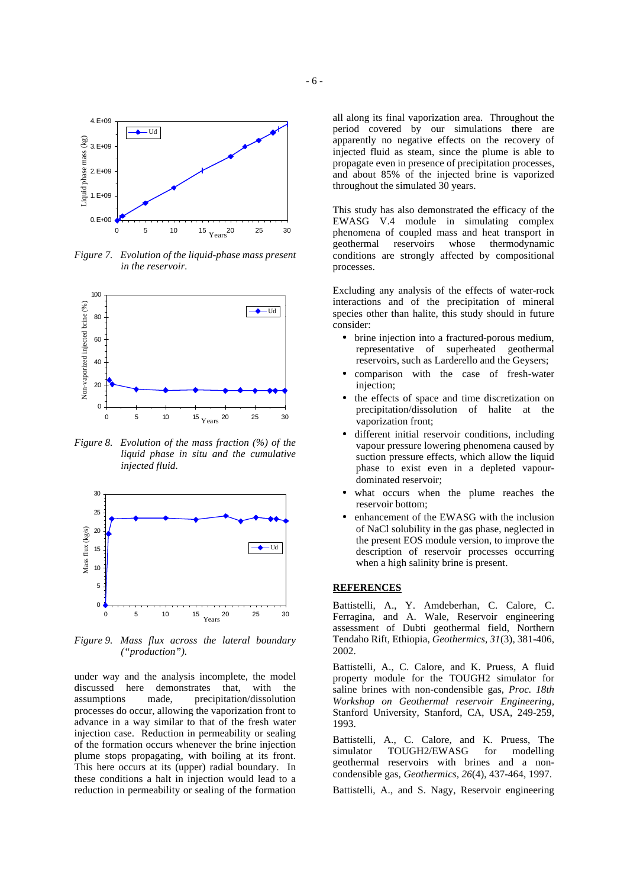

*Figure 7. Evolution of the liquid-phase mass present in the reservoir.*



*Figure 8. Evolution of the mass fraction (%) of the liquid phase in situ and the cumulative injected fluid.*



*Figure 9. Mass flux across the lateral boundary ("production").*

under way and the analysis incomplete, the model discussed here demonstrates that, with the assumptions made, precipitation/dissolution made, precipitation/dissolution processes do occur, allowing the vaporization front to advance in a way similar to that of the fresh water injection case. Reduction in permeability or sealing of the formation occurs whenever the brine injection plume stops propagating, with boiling at its front. This here occurs at its (upper) radial boundary. In these conditions a halt in injection would lead to a reduction in permeability or sealing of the formation

all along its final vaporization area. Throughout the period covered by our simulations there are apparently no negative effects on the recovery of injected fluid as steam, since the plume is able to propagate even in presence of precipitation processes, and about 85% of the injected brine is vaporized throughout the simulated 30 years.

This study has also demonstrated the efficacy of the EWASG V.4 module in simulating complex phenomena of coupled mass and heat transport in whose thermodynamic conditions are strongly affected by compositional processes.

Excluding any analysis of the effects of water-rock interactions and of the precipitation of mineral species other than halite, this study should in future consider:

- brine injection into a fractured-porous medium, representative of superheated geothermal reservoirs, such as Larderello and the Geysers;
- comparison with the case of fresh-water injection;
- the effects of space and time discretization on precipitation/dissolution of halite at the vaporization front;
- different initial reservoir conditions, including vapour pressure lowering phenomena caused by suction pressure effects, which allow the liquid phase to exist even in a depleted vapourdominated reservoir;
- what occurs when the plume reaches the reservoir bottom;
- enhancement of the EWASG with the inclusion of NaCl solubility in the gas phase, neglected in the present EOS module version, to improve the description of reservoir processes occurring when a high salinity brine is present.

# **REFERENCES**

Battistelli, A., Y. Amdeberhan, C. Calore, C. Ferragina, and A. Wale, Reservoir engineering assessment of Dubti geothermal field, Northern Tendaho Rift, Ethiopia, *Geothermics, 31*(3), 381-406, 2002.

Battistelli, A., C. Calore, and K. Pruess, A fluid property module for the TOUGH2 simulator for saline brines with non-condensible gas, *Proc. 18th Workshop on Geothermal reservoir Engineering*, Stanford University, Stanford, CA, USA, 249-259, 1993.

Battistelli, A., C. Calore, and K. Pruess, The simulator TOUGH2/EWASG for modelling geothermal reservoirs with brines and a noncondensible gas, *Geothermics, 26*(4), 437-464, 1997.

Battistelli, A., and S. Nagy, Reservoir engineering